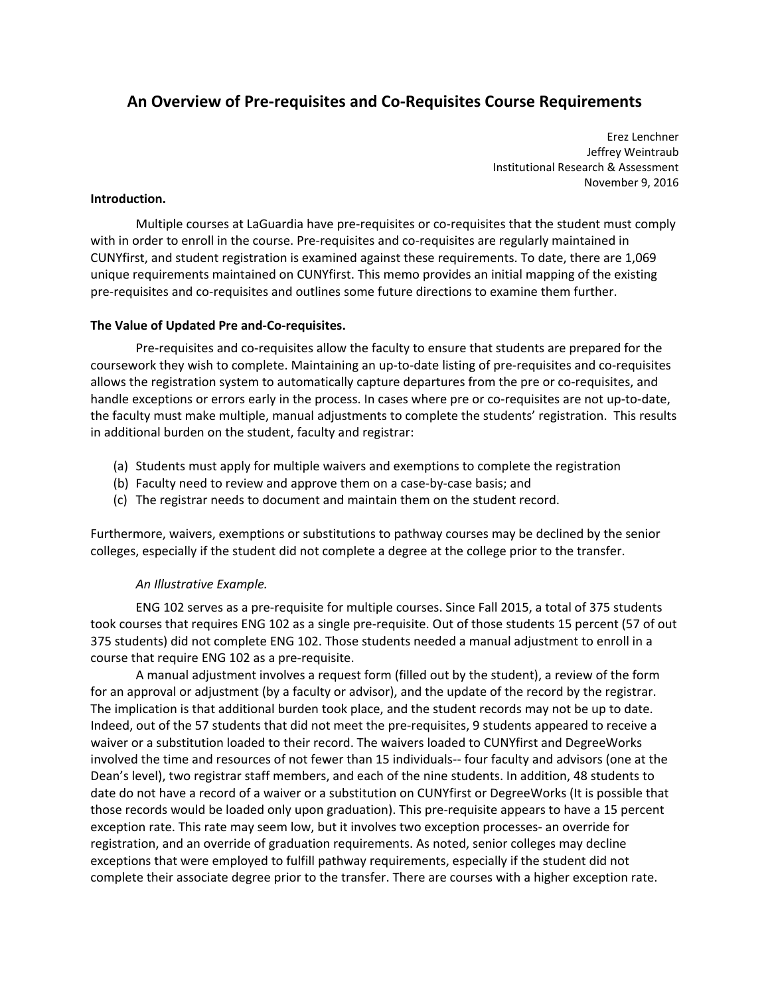# **An Overview of Pre‐requisites and Co‐Requisites Course Requirements**

 Erez Lenchner Jeffrey Weintraub Institutional Research & Assessment November 9, 2016

#### **Introduction.**

 Multiple courses at LaGuardia have pre‐requisites or co‐requisites that the student must comply with in order to enroll in the course. Pre-requisites and co-requisites are regularly maintained in CUNYfirst, and student registration is examined against these requirements. To date, there are 1,069 unique requirements maintained on CUNYfirst. This memo provides an initial mapping of the existing pre‐requisites and co‐requisites and outlines some future directions to examine them further.

# **The Value of Updated Pre and‐Co‐requisites.**

Pre-requisites and co-requisites allow the faculty to ensure that students are prepared for the coursework they wish to complete. Maintaining an up‐to‐date listing of pre‐requisites and co‐requisites allows the registration system to automatically capture departures from the pre or co‐requisites, and handle exceptions or errors early in the process. In cases where pre or co-requisites are not up-to-date, the faculty must make multiple, manual adjustments to complete the students' registration. This results in additional burden on the student, faculty and registrar:

- (a) Students must apply for multiple waivers and exemptions to complete the registration
- (b) Faculty need to review and approve them on a case‐by‐case basis; and
- (c) The registrar needs to document and maintain them on the student record.

 Furthermore, waivers, exemptions or substitutions to pathway courses may be declined by the senior colleges, especially if the student did not complete a degree at the college prior to the transfer.

# *An Illustrative Example.*

 ENG 102 serves as a pre‐requisite for multiple courses. Since Fall 2015, a total of 375 students took courses that requires ENG 102 as a single pre‐requisite. Out of those students 15 percent (57 of out 375 students) did not complete ENG 102. Those students needed a manual adjustment to enroll in a course that require ENG 102 as a pre‐requisite.

 A manual adjustment involves a request form (filled out by the student), a review of the form for an approval or adjustment (by a faculty or advisor), and the update of the record by the registrar. The implication is that additional burden took place, and the student records may not be up to date. Indeed, out of the 57 students that did not meet the pre‐requisites, 9 students appeared to receive a waiver or a substitution loaded to their record. The waivers loaded to CUNYfirst and DegreeWorks involved the time and resources of not fewer than 15 individuals‐‐ four faculty and advisors (one at the Dean's level), two registrar staff members, and each of the nine students. In addition, 48 students to date do not have a record of a waiver or a substitution on CUNYfirst or DegreeWorks (It is possible that those records would be loaded only upon graduation). This pre‐requisite appears to have a 15 percent exception rate. This rate may seem low, but it involves two exception processes‐ an override for registration, and an override of graduation requirements. As noted, senior colleges may decline exceptions that were employed to fulfill pathway requirements, especially if the student did not complete their associate degree prior to the transfer. There are courses with a higher exception rate.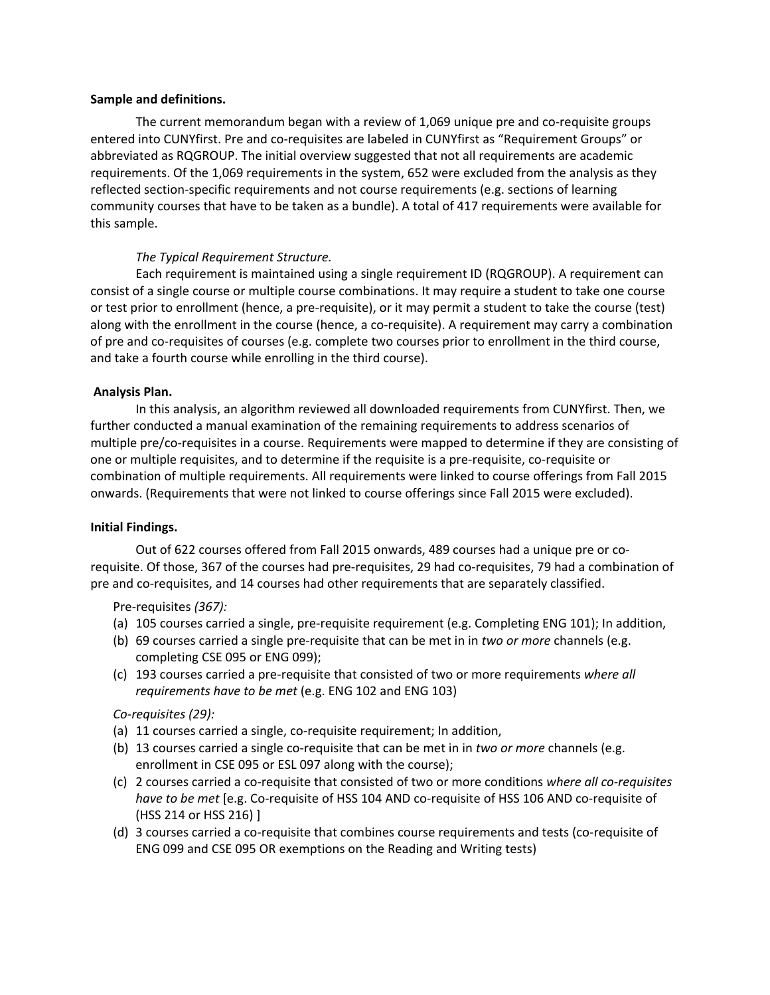#### **Sample and definitions.**

 The current memorandum began with a review of 1,069 unique pre and co‐requisite groups entered into CUNYfirst. Pre and co‐requisites are labeled in CUNYfirst as "Requirement Groups" or abbreviated as RQGROUP. The initial overview suggested that not all requirements are academic requirements. Of the 1,069 requirements in the system, 652 were excluded from the analysis as they reflected section‐specific requirements and not course requirements (e.g. sections of learning community courses that have to be taken as a bundle). A total of 417 requirements were available for this sample.

# *The Typical Requirement Structure.*

 Each requirement is maintained using a single requirement ID (RQGROUP). A requirement can consist of a single course or multiple course combinations. It may require a student to take one course or test prior to enrollment (hence, a pre‐requisite), or it may permit a student to take the course (test) along with the enrollment in the course (hence, a co‐requisite). A requirement may carry a combination of pre and co-requisites of courses (e.g. complete two courses prior to enrollment in the third course, and take a fourth course while enrolling in the third course).

## **Analysis Plan.**

 In this analysis, an algorithm reviewed all downloaded requirements from CUNYfirst. Then, we further conducted a manual examination of the remaining requirements to address scenarios of multiple pre/co‐requisites in a course. Requirements were mapped to determine if they are consisting of one or multiple requisites, and to determine if the requisite is a pre‐requisite, co‐requisite or combination of multiple requirements. All requirements were linked to course offerings from Fall 2015 onwards. (Requirements that were not linked to course offerings since Fall 2015 were excluded).

## **Initial Findings.**

 Out of 622 courses offered from Fall 2015 onwards, 489 courses had a unique pre or co‐ requisite. Of those, 367 of the courses had pre‐requisites, 29 had co‐requisites, 79 had a combination of pre and co-requisites, and 14 courses had other requirements that are separately classified.

## Pre‐requisites *(367):*

- (a) 105 courses carried a single, pre‐requisite requirement (e.g. Completing ENG 101); In addition,
- (b) 69 courses carried a single pre‐requisite that can be met in in *two or more* channels (e.g. completing CSE 095 or ENG 099);
- (c) 193 courses carried a pre‐requisite that consisted of two or more requirements *where all requirements have to be met* (e.g. ENG 102 and ENG 103)

## *Co‐requisites (29):*

- (a) 11 courses carried a single, co‐requisite requirement; In addition,
- (b) 13 courses carried a single co‐requisite that can be met in in *two or more* channels (e.g. enrollment in CSE 095 or ESL 097 along with the course);
- (c) 2 courses carried a co‐requisite that consisted of two or more conditions *where all co‐requisites have to be met* [e.g. Co‐requisite of HSS 104 AND co‐requisite of HSS 106 AND co‐requisite of (HSS 214 or HSS 216) ]
- (d) 3 courses carried a co‐requisite that combines course requirements and tests (co‐requisite of ENG 099 and CSE 095 OR exemptions on the Reading and Writing tests)